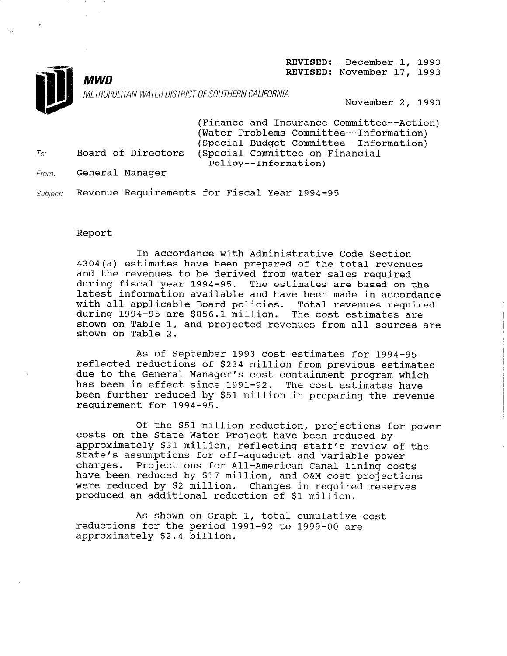

**MWD** REVISED: November 17, 1993

METROPOLITAN WATER DISTRICT OF SOUTHERN CALIFORNIA November 2, 1993

REVISED: December 1, 1993

(Finance and Insurance Committee--Action) (Water Problems Committee--Information) (Special Budget Board of Directors (Special Committee on Financial Policy-- Information)

To:

Firom: General Manager

Subiect: Revenue Requirements for Fiscal Year 1994-95

## Report

In accordance with Administrative Code Section 4304(a) estimates have been prepared of the total revenues and the revenues to be derived from water sales required during fiscal year 1994-95. The estimates are based on the latest information available and have been made in accordance with all applicable Board policies. Total revenues required during 1994-95 are \$856.1 million. The cost estimates are shown on Table 1, and projected revenues from all sources are shown on Table 2.

As of September 1993 cost estimates for 1994-95 reflected reductions of \$234 million from previous estimates due to the General Manager's cost containment program which has been in effect since 1991-92. The cost estimates have been further reduced by \$51 million in preparing the revenue requirement for 1994-95.

Of the \$51 million reduction, projections for power costs on the State Water Project have been reduced by costs on the state water froject have been requeed by<br>approximately \$31 million, reflecting staff's neview of the approximatery gor million, ferreduct and maniable powers State's assumptions for off-aqueduct and variable power<br>charges. Projections for All-American Canal lining costs have been reduced by \$17 million, and O&M cost projections were reduced by \$2 million. Changes in required reserves produced an additional reduction of \$1 million.

 $\lambda$ s shown on Graph 1, total sumulative cost AS SHOWN ON GRAPH 1, COULD CUMURATIVE reductions for the period 1991-92 to 1999-00 are approximately \$2.4 billion.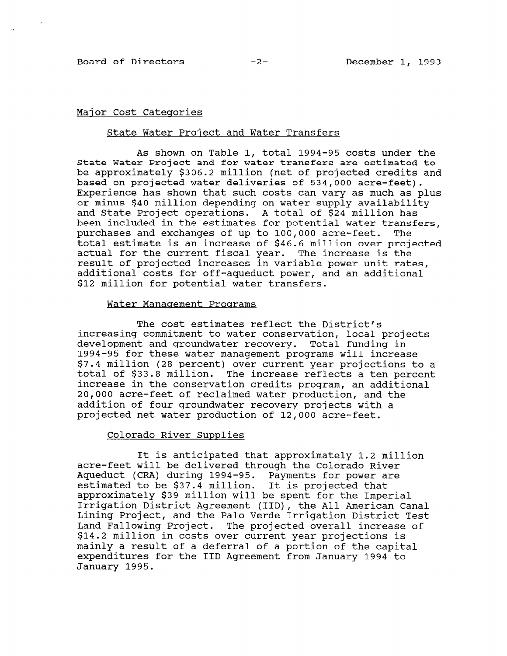# Major Cost Categories

# State Water Project and Water Transfers

As shown on Table 1, total 1994-95 costs under the State Water Project and for water transfers are estimated to be approximately \$306.2 million (net of projected credits and based on projected water deliveries of 534,000 acre-feet). Experience has shown that such costs can vary as much as plus or minus \$40 million depending on water supply availability and State Project operations. A total of \$24 million has been included in the estimates for potential water transfers, purchases and exchanges of up to 100,000 acre-feet. The total estimate is an increase of \$46.6 million over projected actual for the current fiscal year. The increase is the result of projected increases in variable power unit rates, additional costs for off-aqueduct power, and an additional \$12 million for potential water transfers.

#### Water Management Programs

The cost estimates reflect the District's increasing commitment to water conservation, local projects development and groundwater recovery. Total funding in 1994-95 for these water management programs will increase \$7.4 million (28 percent) over current year projections to a total of \$33.8 million. The increase reflects a ten percent increase in the conservation credits program, an additional 20,000 acre-feet of reclaimed water production, and the addition of four groundwater recovery projects with a projected net water production of 12,000 acre-feet.

## Colorado River Supplies

It is anticipated that approximately 1.2 million acre-feet will be delivered through the Colorado River Aqueduct (CRA) during 1994-95. Payments for power are Aqueduct (CRA) during 1994-95. Payments for power estimated to be \$37.4 million. It is projected that<br>expressimately \$30 million will be spent for the Imperi approximately 339 million will be spent for the imperial<br>Indiantien District Agreement (IID), the All American Canal Irrigation District Agreement (IID), the All American Canal Lining Project, and the Palo Verde Irrigation District Test Land Fallowing Project. The projected overall increase of \$14.2 million in costs over current year projections is mainly a result of a deferral of a portion of the capital expenditures for the IID Agreement from January 1994 to January 1995.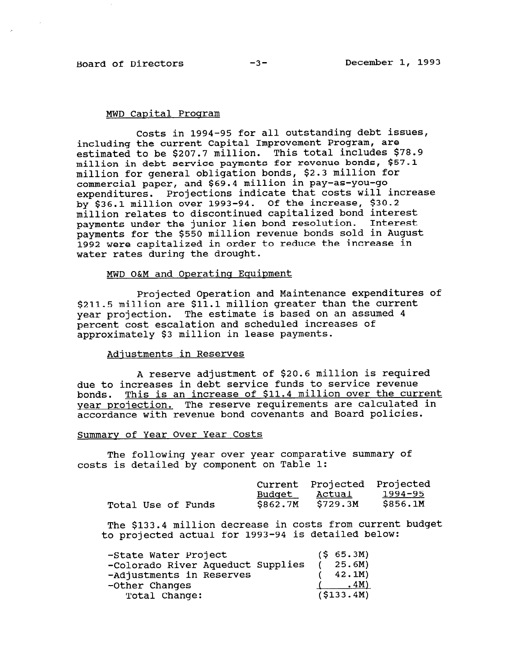# Board of Directors -3- December 1, 1993

## MWD Capital Proqram

Costs in 1994-95 for all outstanding debt issues, including the current Capital Improvement Program, are estimated to be \$207.7 million. This total includes \$78.9 million in debt service payments for revenue bonds, \$57.1 million for general obligation bonds, \$2.3 million for commercial paper, and \$69.4 million in pay-as-you-go expenditures. Projections indicate that costs will increase by \$36.1 million over 1993-94. Of the increase, \$30.2 million relates to discontinued capitalized bond interest payments under the junior lien bond resolution. Interest payments for the \$550 million revenue bonds sold in August 1992 were capitalized in order to reduce the increase in water rates during the drought.

# MWD O&M and Operating Equipment

Projected Operation and Maintenance expenditures of \$211.5 million are \$11.1 million greater than the current year projection. The estimate is based on an assumed 4 percent cost escalation and scheduled increases of approximately \$3 million in lease payments.

# Adiustments in Reserves

A reserve adjustment of \$20.6 million is required due to increases in debt service funds to service revenue bonds. This is an increase of \$11.4 million over the current year projection. The reserve requirements are calculated in accordance with revenue bond covenants and Board policies.

#### Summary of Year Over Year Costs

The following year over year comparative summary of costs is detailed by component on Table 1:

|                    |  |          | Current Projected Projected |          |
|--------------------|--|----------|-----------------------------|----------|
|                    |  |          | <u>Budget Actual</u>        | 1994-95  |
| Total Use of Funds |  | \$862.7M | \$729.3M                    | \$856.1M |

The \$133.4 million decrease in costs from current budget to projected actual for 1993-94 is detailed below:

| -State Water Project<br>-Colorado River Aqueduct Supplies<br>-Adjustments in Reserves<br>-Other Changes | (5 65.3M)<br>25.6M)<br>42.1M)<br><u>.4M)</u> |
|---------------------------------------------------------------------------------------------------------|----------------------------------------------|
| Total Change:                                                                                           | ( \$133.4M)                                  |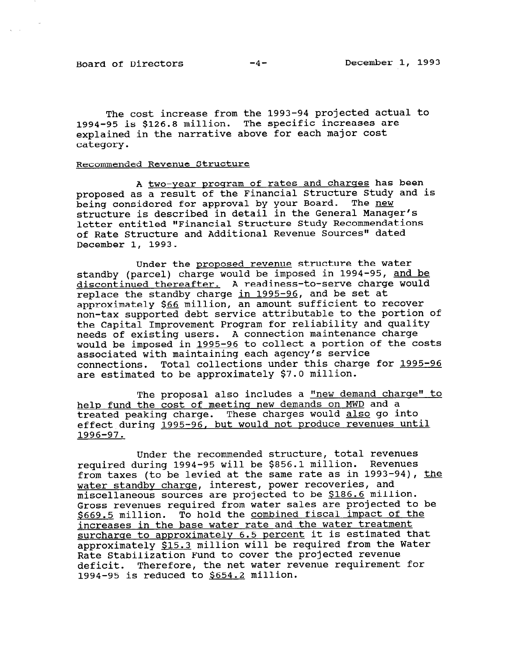$\mathcal{L}^{\text{max}}$ 

The cost increase from the 1993-94 projected actual to 1994-95 is \$126.8 million. The specific increases are explained in the narrative above for each major cost category.

# Recommended Revenue Structure

A two-year program of rates and charges has been proposed as a result of the Financial Structure Study and is being considered for approval by your Board. The new structure is described in detail in the General Manager's letter entitled "Financial Structure Study Recommendations of Rate Structure and Additional Revenue Sources" dated December 1, 1993.

Under the proposed revenue structure the water standby (parcel) charge would be imposed in 1994-95, and be discontinued thereafter. A readiness-to-serve charge would replace the standby charge in 1995-96, and be set at approximately \$66 million, an amount sufficient to recover non-tax supported debt service attributable to the portion of the Capital Improvement Program for reliability and quality needs of existing users. A connection maintenance charge would be imposed in 1995-96 to collect a portion of the costs associated with maintaining each agency's service connections. Total collections under this charge for 1995-96 are estimated to be approximately \$7.0 million.

The proposal also includes a "new demand charge" to help fund the cost of meeting new demands on MWD and a treated peaking charge. These charges would also go into effect during 1995-96, but would not produce revenues until 1996-97.

Under the recommended structure, total revenues required during 1994-95 will be \$856.1 million. Revenues from taxes (to be levied at the same rate as in 1993-94), the IIOM CARES (CO DE IEVIEU AC CHE SAME IACE AS IN 1999) water standby charge, interest, power recoveries, dha Gross receptors required from when sales are projected to be Gross revenues required from water sales are projected to be<br>\$669.5 million. To hold the combined fiscal impact of the pooy. I million. It have water rate and the water treatment INCreases in the pase water rate and the water treatment surcharge to approximately 6.5 percent it is estimated that approximately sip.s million will be required from the Rate Stabilization Fund to cover the projected revenue<br>deficit. Therefore, the net water revenue requirement for 1994-95 is reduced to \$654.2 million.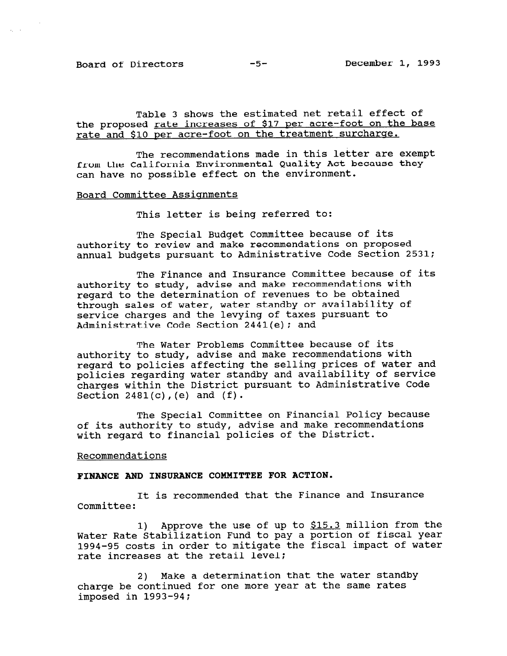$\chi_1=\chi_2$ 

Table 3 shows the estimated net retail effect of the proposed rate increases of \$17 per acre-foot on the base rate and \$10 per acre-foot on the treatment surcharge.

The recommendations made in this letter are exempt from the California Environmental Quality Act because they can have no possible effect on the environment.

#### Board Committee Assignments

This letter is being referred to:

The Special Budget Committee because of its authority to review and make recommendations on proposed annual budgets pursuant to Administrative Code Section 2531;

The Finance and Insurance Committee because of its authority to study, advise and make recommendations with regard to the determination of revenues to be obtained through sales of water, water standby or availability of service charges and the levying of taxes pursuant to Administrative Code Section 2441(e); and

The Water Problems Committee because of its authority to study, advise and make recommendations with regard to policies affecting the selling prices of water and policies regarding water standby and availability of service charges within the District pursuant to Administrative Code Section  $2481(c)$ , (e) and (f).

The Special Committee on Financial Policy because of its authority to study, advise and make recommendations with regard to financial policies of the District.

#### Recommendations

#### FINANCE AND INSURANCE COMMITTEE FOR ACTION.

It is recommended that the Finance and Insurance Committee:

1) Approve the use of up to \$15.3 million from the Water Rate Stabilization Fund to pay a portion of fiscal year water kate Stabilization rund to pay a portion of fiscal year. rate in costs in order to mitigat

2) Make a determination that the water standby z) have a decentracion that the water stands charge be continue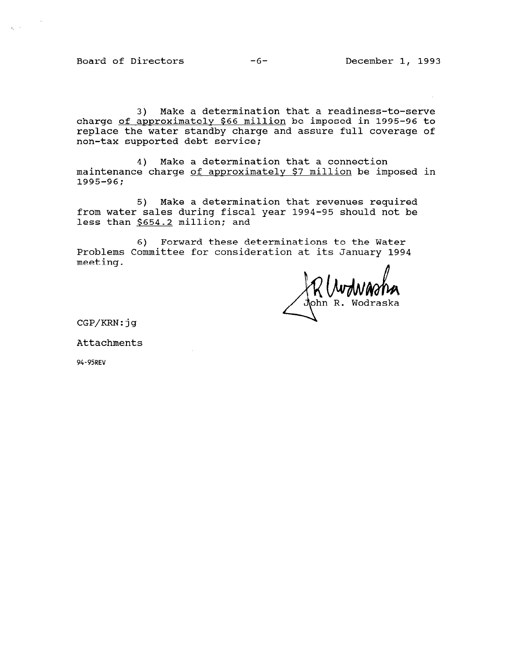Board of Directors -6- December 1, 1993

 $\tilde{\mathcal{E}}_{\mathbf{r}}$  ,  $\tilde{\mathcal{E}}$ 

3) Make a determination that a readiness-to-serve charge of approximately \$66 million be imposed in 1995-96 to replace the water standby charge and assure full coverage of non-tax supported debt service;

4) Make a determination that a connection maintenance charge of approximately \$7 million be imposed in 1995-96;

5) Make a determination that revenues required from water sales during fiscal year 1994-95 should not be less than \$654.2 million; and

6) Forward these determinations to the Water Problems Committee for consideration at its January 1994 meeting.

 $John$  R. Wodraska

CGP/KRN:jg

Attachments

94-95REV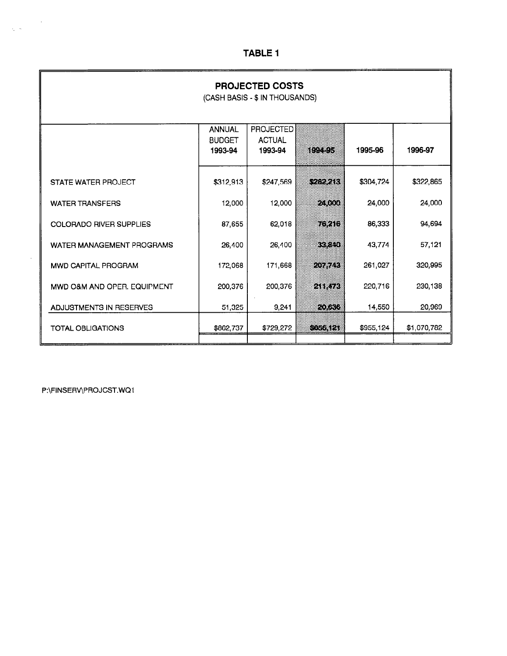TABLE 1

# PROJECTED COSTS

(CASH BASIS - \$ IN THOUSANDS)

|                                  | <b>ANNUAL</b><br><b>BUDGET</b><br>1993-94 | <b>PROJECTED</b><br><b>ACTUAL</b><br>1993-94 | 1894395  | 1995-96   | 1996-97     |
|----------------------------------|-------------------------------------------|----------------------------------------------|----------|-----------|-------------|
| STATE WATER PROJECT              | \$312,913                                 | \$247,569                                    | Sere and | \$304,724 | \$322,865   |
| <b>WATER TRANSFERS</b>           | 12,000                                    | 12,000                                       | 23000    | 24,000    | 24,000      |
| <b>COLORADO RIVER SUPPLIES</b>   | 87,655                                    | 62,018                                       | 7346     | 86,333    | 94,694      |
| <b>WATER MANAGEMENT PROGRAMS</b> | 26,400                                    | 26,400                                       | 83800    | 43,774    | 57,121      |
| <b>MWD CAPITAL PROGRAM</b>       | 172,068                                   | 171,668                                      | evale    | 261,027   | 320,995     |
| MWD O&M AND OPER. EQUIPMENT      | 200,376                                   | 200,376                                      | 21.XX    | 220,716   | 230,138     |
| ADJUSTMENTS IN RESERVES          | 51,325                                    | 9,241                                        | KX K.    | 14,550    | 20,969      |
| <b>TOTAL OBLIGATIONS</b>         | \$862,737                                 | \$729,272                                    | 6856,121 | \$955,124 | \$1,070,782 |

P:\FINSERV\PROJCST.WQ1

 $\sim$   $\sim$ 

 $\mathcal{L}_{\mathbf{g}}$  ,  $\mathcal{L}_{\mathbf{g}}$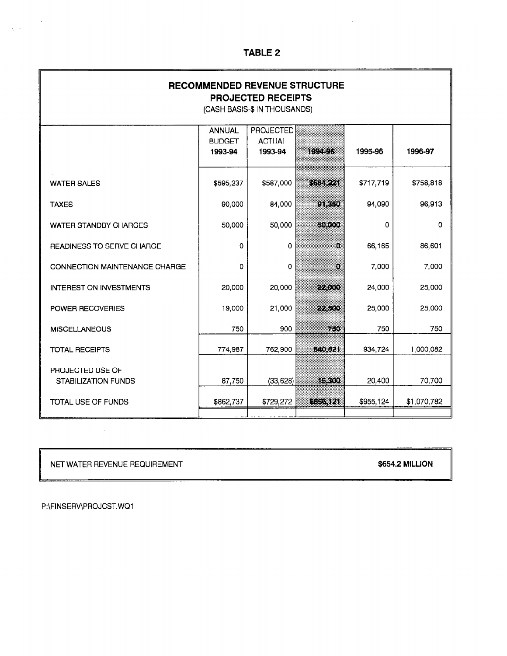# TABLE 2

 $\mathcal{L}$ 

| RECOMMENDED REVENUE STRUCTURE<br><b>PROJECTED RECEIPTS</b><br>(CASH BASIS-\$ IN THOUSANDS) |                                           |                                              |          |           |             |
|--------------------------------------------------------------------------------------------|-------------------------------------------|----------------------------------------------|----------|-----------|-------------|
|                                                                                            | <b>ANNUAL</b><br><b>BUDGET</b><br>1993-94 | <b>PROJECTED</b><br><b>ACTUAL</b><br>1993-94 | 199995   | 1995-96   | 1996-97     |
| <b>WATER SALES</b>                                                                         | \$595,237                                 | \$587,000                                    | \$654721 | \$717,719 | \$758,818   |
| <b>TAXES</b>                                                                               | 90,000                                    | 84,000                                       | 9K.EJ    | 94,090    | 96,913      |
| <b>WATER STANDBY CHARGES</b>                                                               | 50,000                                    | 50,000                                       | 5100     | 0         | o           |
| READINESS TO SERVE CHARGE                                                                  | 0                                         | 0                                            | O.       | 66,165    | 86,601      |
| CONNECTION MAINTENANCE CHARGE                                                              | 0                                         | 0                                            | Ø,       | 7,000     | 7,000       |
| <b>INTEREST ON INVESTMENTS</b>                                                             | 20,000                                    | 20,000                                       | 22,000   | 24,000    | 25,000      |
| <b>POWER RECOVERIES</b>                                                                    | 19,000                                    | 21,000                                       | 22.300   | 25,000    | 25,000      |
| <b>MISCELLANEOUS</b>                                                                       | 750                                       | 900                                          | 760      | 750       | 750         |
| <b>TOTAL RECEIPTS</b>                                                                      | 774,987                                   | 762,900                                      | 83004    | 934,724   | 1,000,082   |
| PROJECTED USE OF<br><b>STABILIZATION FUNDS</b>                                             | 87,750                                    | (33, 628)                                    | TK O     | 20,400    | 70,700      |
| <b>TOTAL USE OF FUNDS</b>                                                                  | \$862,737                                 | \$729,272                                    | GEORGI   | \$955,124 | \$1,070,782 |

NET WATER REVENUE REQUIREMENT **A CONSTRUCTER SETTING SOLUTION** \$654.2 MILLION

 $\mathcal{A}$ 

P:\FlNSERv\PROJCST.WQl

 $\label{eq:2} \frac{1}{2\sqrt{N}}\sum_{i=1}^N\frac{1}{N_i}$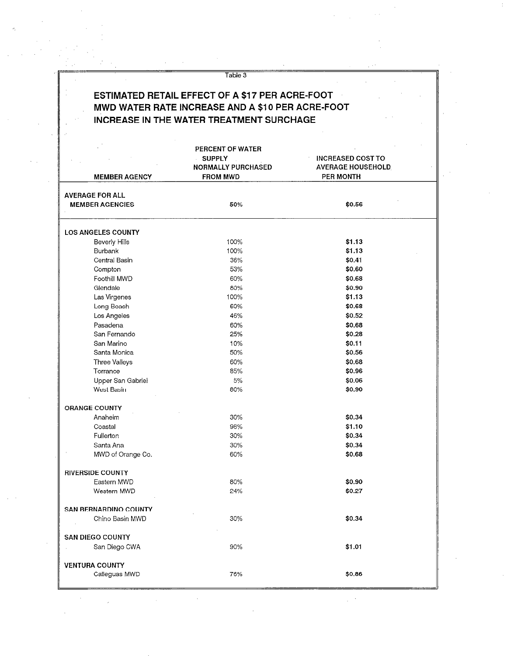# ESTIMATED RETAIL EFFECT OF A \$17 PER ACRE-FOOT MWD WATER RATE INCREASE AND A \$10 PER ACRE-FOOT INCREASE IN THE WATER TREATMENT SURCHAGE

|                              | PERCENT OF WATER          |                          |  |
|------------------------------|---------------------------|--------------------------|--|
|                              | <b>SUPPLY</b>             | <b>INCREASED COST TO</b> |  |
|                              | <b>NORMALLY PURCHASED</b> | <b>AVERAGE HOUSEHOLD</b> |  |
| <b>MEMBER AGENCY</b>         | <b>FROM MWD</b>           | <b>PER MONTH</b>         |  |
|                              |                           |                          |  |
| <b>AVERAGE FOR ALL</b>       |                           |                          |  |
| <b>MEMBER AGENCIES</b>       | 50%                       | \$0.56                   |  |
| <b>LOS ANGELES COUNTY</b>    |                           |                          |  |
| Beverly Hills                | 100%                      | \$1.13                   |  |
| Burbank                      | 100%                      | \$1.13                   |  |
| Central Basin                | 36%                       | \$0.41                   |  |
| Compton                      | 53%                       | \$0.60                   |  |
| Foothill MWD                 | 60%                       | \$0.68                   |  |
| Glendale                     | 80%                       | \$0.90                   |  |
| Las Virgenes                 | 100%                      | \$1.13                   |  |
| Long Beach                   | 60%                       | \$0.68                   |  |
| Los Angeles                  | 46%                       | \$0.52                   |  |
| Pasadena                     | 60%                       | \$0.68                   |  |
| San Fernando                 | 25%                       | \$0.28                   |  |
| San Marino                   | 10%                       | \$0.11                   |  |
| Santa Monica                 | 50%                       | \$0.56                   |  |
| Three Valleys                | 60%                       | \$0.68                   |  |
| Torrance                     | 85%                       | \$0.96                   |  |
| Upper San Gabriel            | 5%                        | \$0.06                   |  |
| West Basin                   | 80%                       | \$0.90                   |  |
| <b>ORANGE COUNTY</b>         |                           |                          |  |
| Anaheim                      | 30%                       | \$0.34                   |  |
| Coastal                      | 98%                       | \$1.10                   |  |
| Fullerton                    | 30%                       | \$0.34                   |  |
| Santa Ana                    | 30%                       | \$0.34                   |  |
| MWD of Orange Co.            | 60%                       | \$0.68                   |  |
| <b>RIVERSIDE COUNTY</b>      |                           |                          |  |
| Eastern MWD                  | 80%                       | \$0.90                   |  |
| Western MWD                  | 24%                       | \$0.27                   |  |
| <b>SAN BERNARDINO COUNTY</b> |                           |                          |  |
| Chino Basin MWD              | 30%                       | \$0.34                   |  |
| <b>SAN DIEGO COUNTY</b>      |                           |                          |  |
| San Diego CWA                | 90%                       | \$1.01                   |  |
|                              |                           |                          |  |
| <b>VENTURA COUNTY</b>        |                           |                          |  |
| Calleguas MWD                | 76%                       | \$0.86                   |  |
|                              |                           |                          |  |